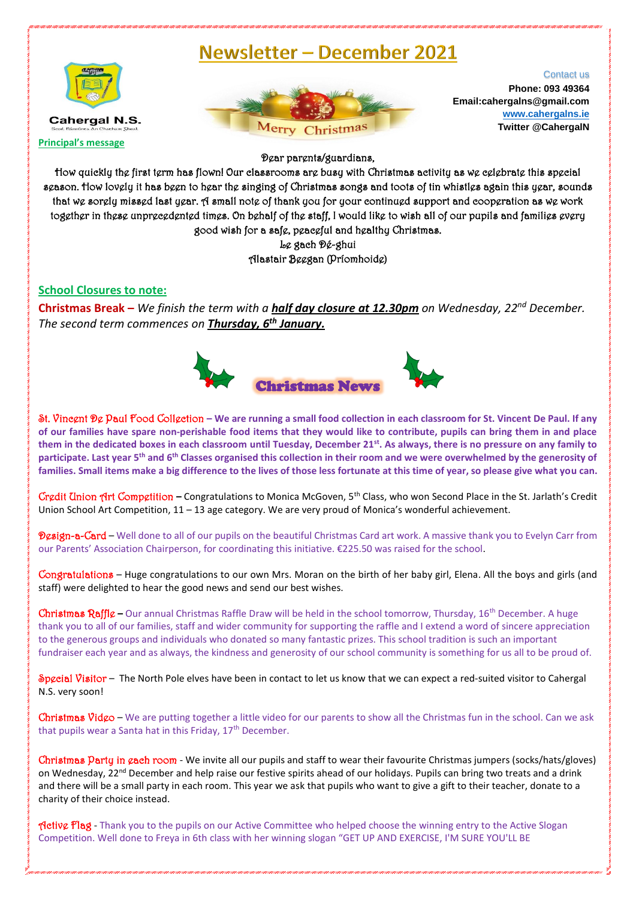## Newsletter - December 2021



Merry Christmas

Contact us **Phone: 093 49364 Email:cahergalns@gmail.com [www.cahergalns.ie](http://www.cahergalns.ie/) Twitter @CahergalN**

Dear parents/guardians,

How quickly the first term has flown! Our classrooms are busy with Christmas activity as we celebrate this special season. How lovely it has been to hear the singing of Christmas songs and toots of tin whistles again this year, sounds that we sorely missed last year. A small note of thank you for your continued support and cooperation as we work together in these unprecedented times. On behalf of the staff, I would like to wish all of our pupils and families every good wish for a safe, peaceful and healthy Christmas.

> Le gach Dé-ghui Alastair Beegan (Príomhoide)

## **School Closures to note:**

**Christmas Break –** *We finish the term with a half day closure at 12.30pm on Wednesday, 22nd December. The second term commences on Thursday, 6 th January.*



St. Vincent De Paul Food Collection **– We are running a small food collection in each classroom for St. Vincent De Paul. If any of our families have spare non-perishable food items that they would like to contribute, pupils can bring them in and place them in the dedicated boxes in each classroom until Tuesday, December 21st . As always, there is no pressure on any family to participate. Last year 5th and 6th Classes organised this collection in their room and we were overwhelmed by the generosity of families. Small items make a big difference to the lives of those less fortunate at this time of year, so please give what you can.** 

Credit Union Art Competition **–** Congratulations to Monica McGoven, 5th Class, who won Second Place in the St. Jarlath's Credit Union School Art Competition, 11 – 13 age category. We are very proud of Monica's wonderful achievement.

Design-a-Card – Well done to all of our pupils on the beautiful Christmas Card art work. A massive thank you to Evelyn Carr from our Parents' Association Chairperson, for coordinating this initiative. €225.50 was raised for the school.

Congratulations – Huge congratulations to our own Mrs. Moran on the birth of her baby girl, Elena. All the boys and girls (and staff) were delighted to hear the good news and send our best wishes.

Christmas Raffle - Our annual Christmas Raffle Draw will be held in the school tomorrow, Thursday, 16<sup>th</sup> December. A huge thank you to all of our families, staff and wider community for supporting the raffle and I extend a word of sincere appreciation to the generous groups and individuals who donated so many fantastic prizes. This school tradition is such an important fundraiser each year and as always, the kindness and generosity of our school community is something for us all to be proud of.

Special Visitor - The North Pole elves have been in contact to let us know that we can expect a red-suited visitor to Cahergal N.S. very soon!

Christmas Vid $\varphi$  – We are putting together a little video for our parents to show all the Christmas fun in the school. Can we ask that pupils wear a Santa hat in this Friday, 17<sup>th</sup> December.

Christmas Party in cach room - We invite all our pupils and staff to wear their favourite Christmas jumpers (socks/hats/gloves) on Wednesday, 22nd December and help raise our festive spirits ahead of our holidays. Pupils can bring two treats and a drink and there will be a small party in each room. This year we ask that pupils who want to give a gift to their teacher, donate to a charity of their choice instead.

**Active Flag** - Thank you to the pupils on our Active Committee who helped choose the winning entry to the Active Slogan Competition. Well done to Freya in 6th class with her winning slogan "GET UP AND EXERCISE, I'M SURE YOU'LL BE